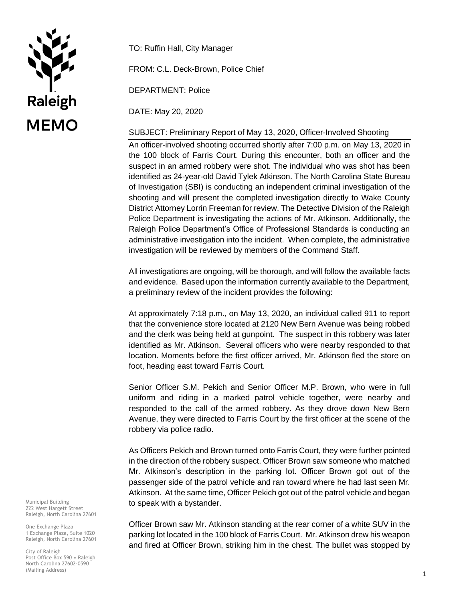

TO: Ruffin Hall, City Manager

FROM: C.L. Deck-Brown, Police Chief

DEPARTMENT: Police

DATE: May 20, 2020

## SUBJECT: Preliminary Report of May 13, 2020, Officer-Involved Shooting

An officer-involved shooting occurred shortly after 7:00 p.m. on May 13, 2020 in the 100 block of Farris Court. During this encounter, both an officer and the suspect in an armed robbery were shot. The individual who was shot has been identified as 24-year-old David Tylek Atkinson. The North Carolina State Bureau of Investigation (SBI) is conducting an independent criminal investigation of the shooting and will present the completed investigation directly to Wake County District Attorney Lorrin Freeman for review. The Detective Division of the Raleigh Police Department is investigating the actions of Mr. Atkinson. Additionally, the Raleigh Police Department's Office of Professional Standards is conducting an administrative investigation into the incident. When complete, the administrative investigation will be reviewed by members of the Command Staff.

All investigations are ongoing, will be thorough, and will follow the available facts and evidence. Based upon the information currently available to the Department, a preliminary review of the incident provides the following:

At approximately 7:18 p.m., on May 13, 2020, an individual called 911 to report that the convenience store located at 2120 New Bern Avenue was being robbed and the clerk was being held at gunpoint. The suspect in this robbery was later identified as Mr. Atkinson. Several officers who were nearby responded to that location. Moments before the first officer arrived, Mr. Atkinson fled the store on foot, heading east toward Farris Court.

Senior Officer S.M. Pekich and Senior Officer M.P. Brown, who were in full uniform and riding in a marked patrol vehicle together, were nearby and responded to the call of the armed robbery. As they drove down New Bern Avenue, they were directed to Farris Court by the first officer at the scene of the robbery via police radio.

As Officers Pekich and Brown turned onto Farris Court, they were further pointed in the direction of the robbery suspect. Officer Brown saw someone who matched Mr. Atkinson's description in the parking lot. Officer Brown got out of the passenger side of the patrol vehicle and ran toward where he had last seen Mr. Atkinson. At the same time, Officer Pekich got out of the patrol vehicle and began to speak with a bystander.

Officer Brown saw Mr. Atkinson standing at the rear corner of a white SUV in the parking lot located in the 100 block of Farris Court. Mr. Atkinson drew his weapon and fired at Officer Brown, striking him in the chest. The bullet was stopped by

Municipal Building 222 West Hargett Street Raleigh, North Carolina 27601

One Exchange Plaza 1 Exchange Plaza, Suite 1020 Raleigh, North Carolina 27601

City of Raleigh Post Office Box 590 • Raleigh North Carolina 27602-0590 (Mailing Address)